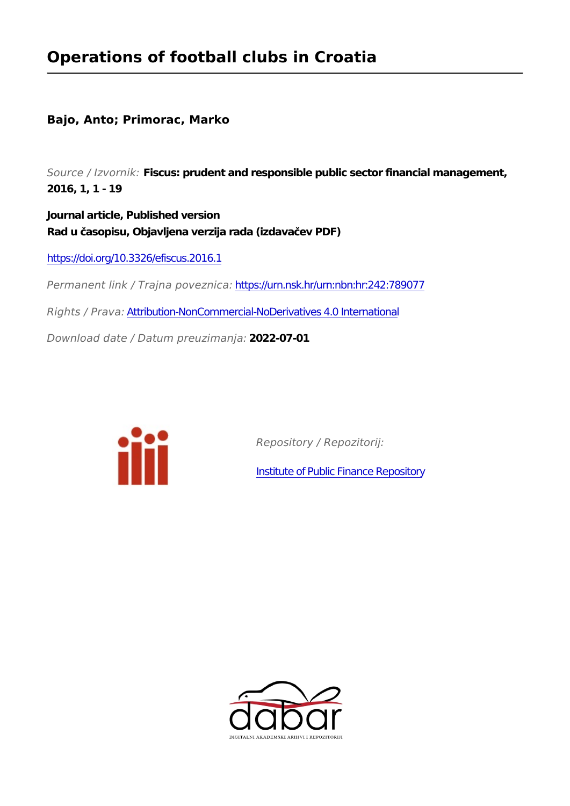#### **Operations of football clubs in Croatia**

#### **Bajo, Anto; Primorac, Marko**

*Source / Izvornik:* **Fiscus: prudent and responsible public sector financial management, 2016, 1, 1 - 19**

**Journal article, Published version Rad u časopisu, Objavljena verzija rada (izdavačev PDF)**

<https://doi.org/10.3326/efiscus.2016.1>

*Permanent link / Trajna poveznica:* <https://urn.nsk.hr/urn:nbn:hr:242:789077>

*Rights / Prava:* [Attribution-NonCommercial-NoDerivatives 4.0 International](http://creativecommons.org/licenses/by-nc-nd/4.0/)

*Download date / Datum preuzimanja:* **2022-07-01**



*Repository / Repozitorij:*

[Institute of Public Finance Repository](https://repozitorij.ijf.hr)

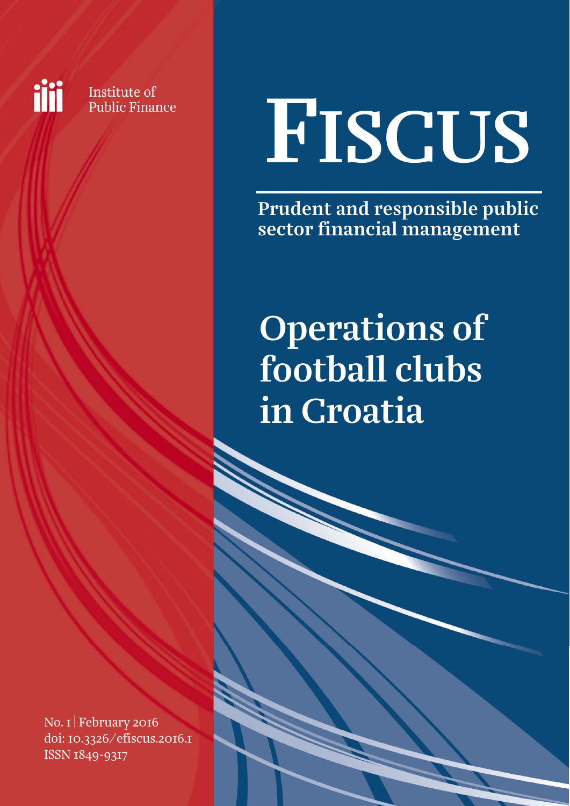iii

Institute of **Public Finance** 

# FISCUS

Prudent and responsible public sector financial management

### Operations of football clubs in Croatia

No. 1 February 2016 doi: [10.3326/efiscus.2016.1](http://dx.doi.org/10.3326/efiscus.2016.1)  ISSN 1849-9317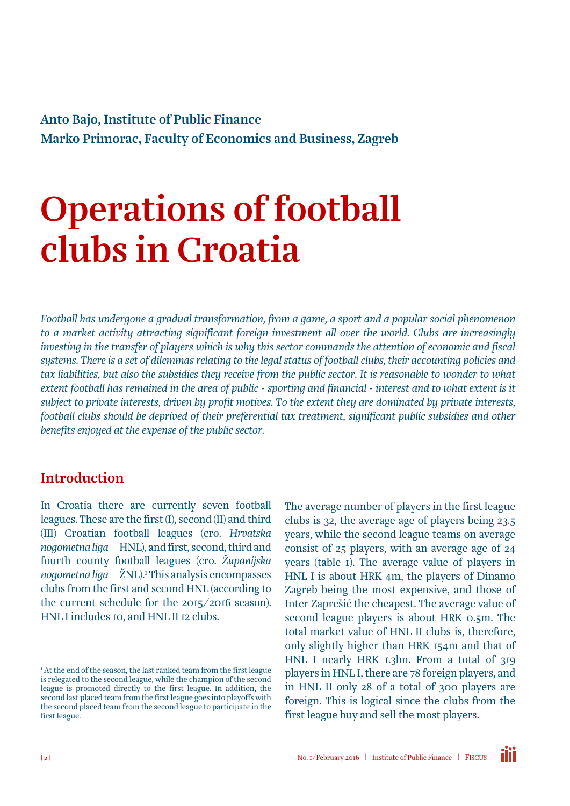Anto Bajo, Institute of Public Finance Marko Primorac, Faculty of Economics and Business, Zagreb

### Operations of football clubs in Croatia

*Football has undergone a gradual transformation, from a game, a sport and a popular social phenomenon to a market activity attracting significant foreign investment all over the world. Clubs are increasingly investing in the transfer of players which is why this sector commands the attention of economic and fiscal systems. There is a set of dilemmas relating to the legal status of football clubs, their accounting policies and*  tax liabilities, but also the subsidies they receive from the public sector. It is reasonable to wonder to what *extent football has remained in the area of public - sporting and financial - interest and to what extent is it subject to private interests, driven by profit motives. To the extent they are dominated by private interests, football clubs should be deprived of their preferential tax treatment, significant public subsidies and other benefits enjoyed at the expense of the public sector.* 

#### Introduction

In Croatia there are currently seven football leagues. These are the first (I), second (II) and third (III) Croatian football leagues (cro. *Hrvatska nogometna liga* – HNL), and first, second, third and fourth county football leagues (cro. *Županijska nogometna liga* – ŽNL).1 This analysis encompasses clubs from the first and second HNL (according to the current schedule for the 2015/2016 season). HNL I includes 10, and HNL II 12 clubs.

The average number of players in the first league clubs is 32, the average age of players being 23.5 years, while the second league teams on average consist of 25 players, with an average age of 24 years (table 1). The average value of players in HNL I is about HRK 4m, the players of Dinamo Zagreb being the most expensive, and those of Inter Zaprešić the cheapest. The average value of second league players is about HRK 0.5m. The total market value of HNL II clubs is, therefore, only slightly higher than HRK 154m and that of HNL I nearly HRK 1.3bn. From a total of 319 players in HNL I, there are 78 foreign players, and in HNL II only 28 of a total of 300 players are foreign. This is logical since the clubs from the first league buy and sell the most players.



 $^{\mathrm{I}}$  At the end of the season, the last ranked team from the first league is relegated to the second league, while the champion of the second league is promoted directly to the first league. In addition, the second last placed team from the first league goes into playoffs with the second placed team from the second league to participate in the first league.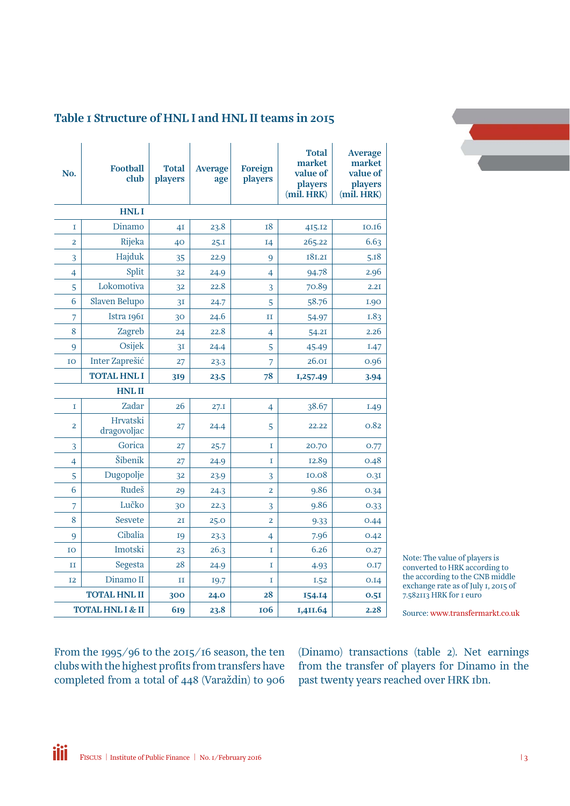

#### Table 1 Structure of HNL I and HNL II teams in 2015

| No.                     | <b>Football</b><br>club     | <b>Total</b><br>players | <b>Average</b><br>age | Foreign<br>players | <b>Total</b><br>market<br>value of<br>players<br>(mil. HRK) | <b>Average</b><br>market<br>value of<br>players<br>(mil. HRK) |
|-------------------------|-----------------------------|-------------------------|-----------------------|--------------------|-------------------------------------------------------------|---------------------------------------------------------------|
|                         | <b>HNLI</b>                 |                         |                       |                    |                                                             |                                                               |
| I                       | Dinamo                      | 4I                      | 23.8                  | 18                 | 415.12                                                      | 10.16                                                         |
| $\overline{\mathbf{c}}$ | Rijeka                      | 40                      | 25.1                  | I4                 | 265.22                                                      | 6.63                                                          |
| 3                       | Hajduk                      | 35                      | 22.9                  | 9                  | 181.21                                                      | 5.18                                                          |
| 4                       | Split                       | 32                      | 24.9                  | $\overline{4}$     | 94.78                                                       | 2.96                                                          |
| 5                       | Lokomotiva                  | 32                      | 22.8                  | 3                  | 70.89                                                       | 2.2I                                                          |
| 6                       | Slaven Belupo               | 3I                      | 24.7                  | 5                  | 58.76                                                       | <b>I.90</b>                                                   |
| 7                       | Istra 1961                  | 30                      | 24.6                  | $_{II}$            | 54.97                                                       | <b>I.83</b>                                                   |
| 8                       | Zagreb                      | 24                      | 22.8                  | 4                  | 54.21                                                       | 2.26                                                          |
| 9                       | Osijek                      | 3I                      | 24.4                  | 5                  | 45.49                                                       | I.47                                                          |
| IO                      | Inter Zaprešić              | 27                      | 23.3                  | $\overline{7}$     | 26.01                                                       | 0.96                                                          |
|                         | <b>TOTAL HNL I</b>          | 319                     | 23.5                  | 78                 | 1,257.49                                                    | 3.94                                                          |
|                         | <b>HNLII</b>                |                         |                       |                    |                                                             |                                                               |
| T                       | Zadar                       | 26                      | 27.1                  | $\overline{4}$     | 38.67                                                       | I.49                                                          |
| 2                       | Hrvatski<br>dragovoljac     | 27                      | 24.4                  | 5                  | 22.22                                                       | 0.82                                                          |
| 3                       | Gorica                      | 27                      | 25.7                  | I                  | 20.70                                                       | 0.77                                                          |
| $\overline{4}$          | Šibenik                     | 27                      | 24.9                  | I                  | 12.89                                                       | 0.48                                                          |
| 5                       | Dugopolje                   | 32                      | 23.9                  | 3                  | 10.08                                                       | 0.3I                                                          |
| 6                       | Rudeš                       | 29                      | 24.3                  | $\overline{2}$     | 9.86                                                        | 0.34                                                          |
| 7                       | Lučko                       | 30                      | 22.3                  | 3                  | 9.86                                                        | 0.33                                                          |
| 8                       | <b>Sesvete</b>              | 2I                      | 25.0                  | $\overline{2}$     | 9.33                                                        | 0.44                                                          |
| 9                       | Cibalia                     | 19                      | 23.3                  | $\overline{4}$     | 7.96                                                        | 0.42                                                          |
| IO                      | Imotski                     | 23                      | 26.3                  | I                  | 6.26                                                        | 0.27                                                          |
| $_{\rm II}$             | Segesta                     | 28                      | 24.9                  | 1                  | 4.93                                                        | O.I7                                                          |
| I <sub>2</sub>          | Dinamo II                   | $\;$ II                 | 19.7                  | I                  | I.52                                                        | 0.14                                                          |
|                         | <b>TOTAL HNL II</b>         | 300                     | 24.0                  | 28                 | 154.14                                                      | 0.5I                                                          |
|                         | <b>TOTAL HNL I &amp; II</b> | 619                     | 23.8                  | <b>106</b>         | 1,411.64                                                    | 2.28                                                          |

Note: The value of players is converted to HRK according to the according to the CNB middle exchange rate as of July 1, 2015 of 7.582113 HRK for 1 euro

Source: <www.transfermarkt.co.uk>

From the 1995/96 to the 2015/16 season, the ten clubs with the highest profits from transfers have completed from a total of 448 (Varaždin) to 906

(Dinamo) transactions (table 2). Net earnings from the transfer of players for Dinamo in the past twenty years reached over HRK 1bn.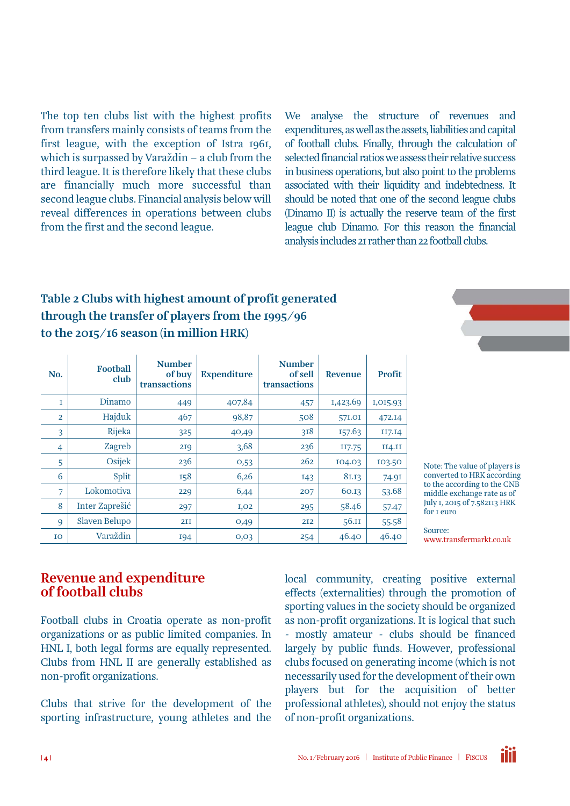The top ten clubs list with the highest profits from transfers mainly consists of teams from the first league, with the exception of Istra 1961, which is surpassed by Varaždin – a club from the third league. It is therefore likely that these clubs are financially much more successful than second league clubs. Financial analysis below will reveal differences in operations between clubs from the first and the second league.

We analyse the structure of revenues and expenditures, as well as the assets, liabilities and capital of football clubs. Finally, through the calculation of selected financial ratios we assess their relative success in business operations, but also point to the problems associated with their liquidity and indebtedness. It should be noted that one of the second league clubs (Dinamo II) is actually the reserve team of the first league club Dinamo. For this reason the financial analysis includes 21 rather than 22 football clubs.

#### Table 2 Clubs with highest amount of profit generated through the transfer of players from the 1995/96 to the 2015/16 season (in million HRK)

| No.            | <b>Football</b><br>club | <b>Number</b><br>of buy<br>transactions | <b>Expenditure</b> | <b>Number</b><br>of sell<br>transactions | <b>Revenue</b> | <b>Profit</b> |
|----------------|-------------------------|-----------------------------------------|--------------------|------------------------------------------|----------------|---------------|
| I              | Dinamo                  | 449                                     | 407,84             | 457                                      | 1,423.69       | 1,015.93      |
| $\overline{2}$ | Hajduk                  | 467                                     | 98,87              | 508                                      | 57I.OI         | 472.14        |
| 3              | Rijeka                  | 325                                     | 40,49              | 3I8                                      | 157.63         | II7.I4        |
| $\overline{4}$ | Zagreb                  | 219                                     | 3,68               | 236                                      | II7.75         | II4.II        |
| 5              | Osijek                  | 236                                     | 0,53               | 262                                      | 104.03         | 103.50        |
| 6              | Split                   | 158                                     | 6,26               | 143                                      | 81.13          | 74.91         |
| 7              | Lokomotiva              | 229                                     | 6,44               | 207                                      | 60.13          | 53.68         |
| 8              | Inter Zaprešić          | 297                                     | I, O2              | 295                                      | 58.46          | 57.47         |
| 9              | Slaven Belupo           | <b>211</b>                              | 0,49               | 212                                      | 56.11          | 55.58         |
| IO             | Varaždin                | 194                                     | 0,03               | 254                                      | 46.40          | 46.40         |

Note: The value of players is converted to HRK according to the according to the CNB middle exchange rate as of July 1, 2015 of 7.582113 HRK for 1 euro

Source: <www.transfermarkt.co.uk>

#### Revenue and expenditure of football clubs

Football clubs in Croatia operate as non-profit organizations or as public limited companies. In HNL I, both legal forms are equally represented. Clubs from HNL II are generally established as non-profit organizations.

Clubs that strive for the development of the sporting infrastructure, young athletes and the local community, creating positive external effects (externalities) through the promotion of sporting values in the society should be organized as non-profit organizations. It is logical that such - mostly amateur - clubs should be financed largely by public funds. However, professional clubs focused on generating income (which is not necessarily used for the development of their own players but for the acquisition of better professional athletes), should not enjoy the status of non-profit organizations.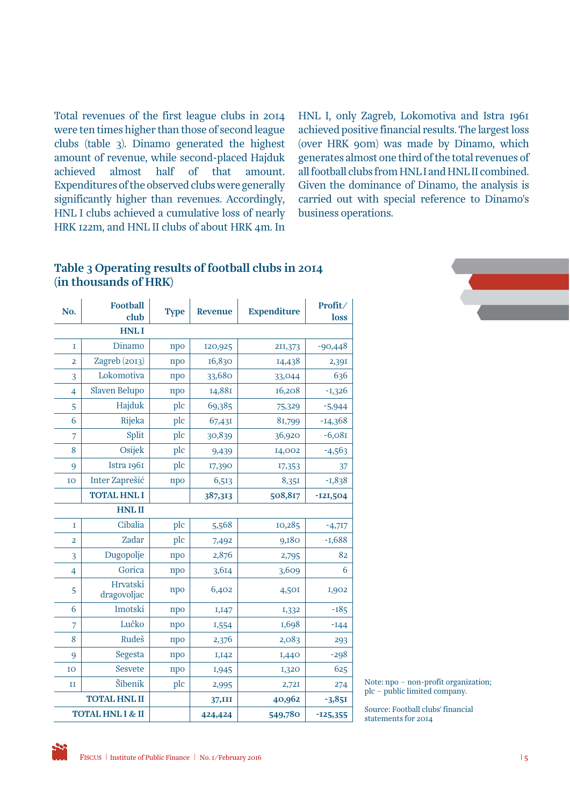Total revenues of the first league clubs in 2014 were ten times higher than those of second league clubs (table 3). Dinamo generated the highest amount of revenue, while second-placed Hajduk achieved almost half of that amount. Expenditures of the observed clubs were generally significantly higher than revenues. Accordingly, HNL I clubs achieved a cumulative loss of nearly HRK 122m, and HNL II clubs of about HRK 4m. In

HNL I, only Zagreb, Lokomotiva and Istra 1961 achieved positive financial results. The largest loss (over HRK 90m) was made by Dinamo, which generates almost one third of the total revenues of all football clubs from HNL I and HNL II combined. Given the dominance of Dinamo, the analysis is carried out with special reference to Dinamo's business operations.

#### Table 3 Operating results of football clubs in 2014 (in thousands of HRK)

| No.              | <b>Football</b><br>club | <b>Type</b> | <b>Revenue</b> | <b>Expenditure</b> | Profit/<br>loss |
|------------------|-------------------------|-------------|----------------|--------------------|-----------------|
|                  | <b>HNLI</b>             |             |                |                    |                 |
| I                | Dinamo                  | npo         | 120,925        | 211,373            | $-90,448$       |
| $\overline{2}$   | Zagreb (2013)           | npo         | 16,830         | 14,438             | 2,391           |
| 3                | Lokomotiva              | npo         | 33,680         | 33,044             | 636             |
| 4                | <b>Slaven Belupo</b>    | npo         | 14,881         | 16,208             | $-1,326$        |
| 5                | Hajduk                  | plc         | 69,385         | 75,329             | $-5,944$        |
| 6                | Rijeka                  | plc         | 67,431         | 81,799             | $-14,368$       |
| $\overline{7}$   | Split                   | plc         | 30,839         | 36,920             | $-6,081$        |
| 8                | Osijek                  | plc         | 9,439          | 14,002             | $-4,563$        |
| 9                | Istra 1961              | plc         | 17,390         | 17,353             | 37              |
| IO               | Inter Zaprešić          | npo         | 6,513          | 8,351              | $-1,838$        |
|                  | <b>TOTAL HNL I</b>      |             | 387,313        | 508,817            | $-121,504$      |
|                  | <b>HNLII</b>            |             |                |                    |                 |
| I                | Cibalia                 | plc         | 5,568          | 10,285             | $-4,717$        |
| $\overline{2}$   | Zadar                   | plc         | 7,492          | 9,180              | $-1,688$        |
| 3                | Dugopolje               | npo         | 2,876          | 2,795              | 82              |
| 4                | Gorica                  | npo         | 3,614          | 3,609              | 6               |
| 5                | Hrvatski<br>dragovoljac | npo         | 6,402          | 4,501              | 1,902           |
| 6                | Imotski                 | npo         | 1,147          | 1,332              | $-185$          |
| 7                | Lučko                   | npo         | 1,554          | 1,698              | $-144$          |
| 8                | Rudeš                   | npo         | 2,376          | 2,083              | 293             |
| 9                | Segesta                 | npo         | 1,142          | 1,440              | $-298$          |
| IO               | <b>Sesvete</b>          | npo         | 1,945          | 1,320              | 625             |
| $_{II}$          | Šibenik                 | plc         | 2,995          | 2,721              | 274             |
|                  | <b>TOTAL HNL II</b>     |             | 37,III         | 40,962             | $-3,85I$        |
| TOTAL HNL I & II |                         |             | 424,424        | 549,780            | $-125,355$      |



Note: npo – non-profit organization; plc – public limited company.

Source: Football clubs' financial statements for 2014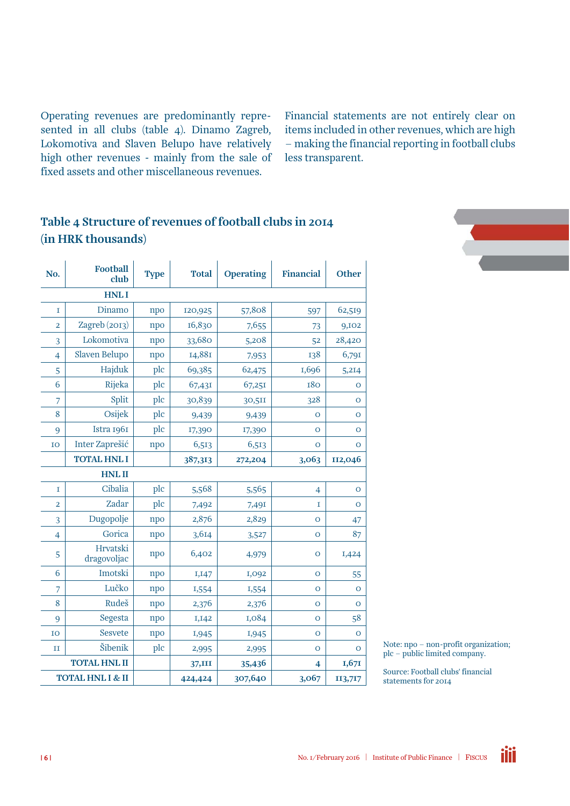Operating revenues are predominantly represented in all clubs (table 4). Dinamo Zagreb, Lokomotiva and Slaven Belupo have relatively high other revenues - mainly from the sale of fixed assets and other miscellaneous revenues.

Financial statements are not entirely clear on items included in other revenues, which are high – making the financial reporting in football clubs less transparent.

#### Table 4 Structure of revenues of football clubs in 2014 (in HRK thousands)

| No.            | <b>Football</b><br>club | <b>Type</b> | <b>Total</b> | <b>Operating</b> | <b>Financial</b> | <b>Other</b>   |
|----------------|-------------------------|-------------|--------------|------------------|------------------|----------------|
|                | <b>HNLI</b>             |             |              |                  |                  |                |
| $\mathbf I$    | Dinamo                  | npo         | 120,925      | 57,808           | 597              | 62,519         |
| $\overline{2}$ | Zagreb (2013)           | npo         | 16,830       | 7,655            | 73               | 9,102          |
| 3              | Lokomotiva              | npo         | 33,680       | 5,208            | 52               | 28,420         |
| $\overline{4}$ | <b>Slaven Belupo</b>    | npo         | 14,881       | 7,953            | 138              | 6,791          |
| 5              | Hajduk                  | plc         | 69,385       | 62,475           | 1,696            | 5,214          |
| 6              | Rijeka                  | plc         | 67,431       | 67,251           | <b>180</b>       | $\mathbf O$    |
| 7              | Split                   | plc         | 30,839       | 30,511           | 328              | $\mathbf O$    |
| 8              | Osijek                  | plc         | 9,439        | 9,439            | O                | $\mathbf O$    |
| 9              | Istra 1961              | plc         | 17,390       | 17,390           | $\overline{O}$   | $\mathbf O$    |
| IO             | Inter Zaprešić          | npo         | 6,513        | 6,513            | O                | $\mathbf O$    |
|                | <b>TOTAL HNL I</b>      |             | 387,313      | 272,204          | 3,063            | II2,046        |
|                | <b>HNLII</b>            |             |              |                  |                  |                |
| 1              | Cibalia                 | plc         | 5,568        | 5,565            | 4                | $\mathbf{O}$   |
| $\overline{2}$ | Zadar                   | plc         | 7,492        | 7,491            | I                | $\overline{O}$ |
| 3              | Dugopolje               | npo         | 2,876        | 2,829            | O                | 47             |
| $\overline{4}$ | Gorica                  | npo         | 3,614        | 3,527            | O                | 87             |
| 5              | Hrvatski<br>dragovoljac | npo         | 6,402        | 4,979            | $\overline{O}$   | 1,424          |
| 6              | Imotski                 | npo         | 1,147        | 1,092            | O                | 55             |
| 7              | Lučko                   | npo         | 1,554        | 1,554            | $\circ$          | $\mathbf{O}$   |
| 8              | Rudeš                   | npo         | 2,376        | 2,376            | $\overline{O}$   | $\overline{O}$ |
| 9              | Segesta                 | npo         | I, I42       | 1,084            | $\mathbf{O}$     | 58             |
| IO             | Sesvete                 | npo         | 1,945        | 1,945            | $\overline{O}$   | $\mathbf O$    |
| п              | Šibenik                 | plc         | 2,995        | 2,995            | O                | $\mathbf O$    |
|                | <b>TOTAL HNL II</b>     |             | 37,III       | 35,436           | 4                | 1,671          |
|                | TOTAL HNL I & II        |             | 424,424      | 307,640          | 3,067            | 113,717        |



Note: npo – non-profit organization; plc – public limited company.

ili

Source: Football clubs' financial statements for 2014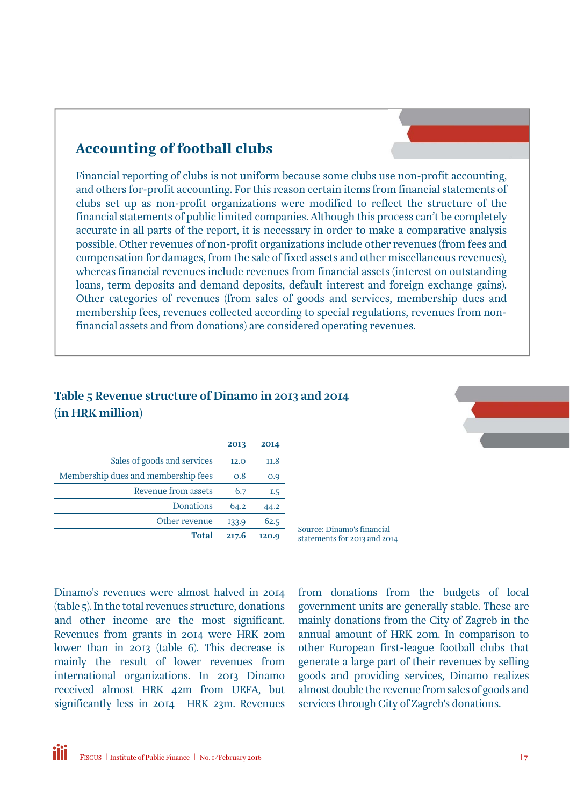#### Accounting of football clubs

Financial reporting of clubs is not uniform because some clubs use non-profit accounting, and others for-profit accounting. For this reason certain items from financial statements of clubs set up as non-profit organizations were modified to reflect the structure of the financial statements of public limited companies. Although this process can't be completely accurate in all parts of the report, it is necessary in order to make a comparative analysis possible. Other revenues of non-profit organizations include other revenues (from fees and compensation for damages, from the sale of fixed assets and other miscellaneous revenues), whereas financial revenues include revenues from financial assets (interest on outstanding loans, term deposits and demand deposits, default interest and foreign exchange gains). Other categories of revenues (from sales of goods and services, membership dues and membership fees, revenues collected according to special regulations, revenues from nonfinancial assets and from donations) are considered operating revenues.

#### Table 5 Revenue structure of Dinamo in 2013 and 2014 (in HRK million)

|                                     | 2013        | 2014  |
|-------------------------------------|-------------|-------|
| Sales of goods and services         | <b>I2.0</b> | II.8  |
| Membership dues and membership fees | 0.8         | O.9   |
| Revenue from assets                 | 6.7         | 1.5   |
| Donations                           | 64.2        | 44.2  |
| Other revenue                       | 133.9       | 62.5  |
| <b>Total</b>                        | 217.6       | 120.9 |

Source: Dinamo's financial statements for 2013 and 2014

Dinamo's revenues were almost halved in 2014 (table 5). In the total revenues structure, donations and other income are the most significant. Revenues from grants in 2014 were HRK 20m lower than in 2013 (table 6). This decrease is mainly the result of lower revenues from international organizations. In 2013 Dinamo received almost HRK 42m from UEFA, but significantly less in 2014– HRK 23m. Revenues

from donations from the budgets of local government units are generally stable. These are mainly donations from the City of Zagreb in the annual amount of HRK 20m. In comparison to other European first-league football clubs that generate a large part of their revenues by selling goods and providing services, Dinamo realizes almost double the revenue from sales of goods and services through City of Zagreb's donations.

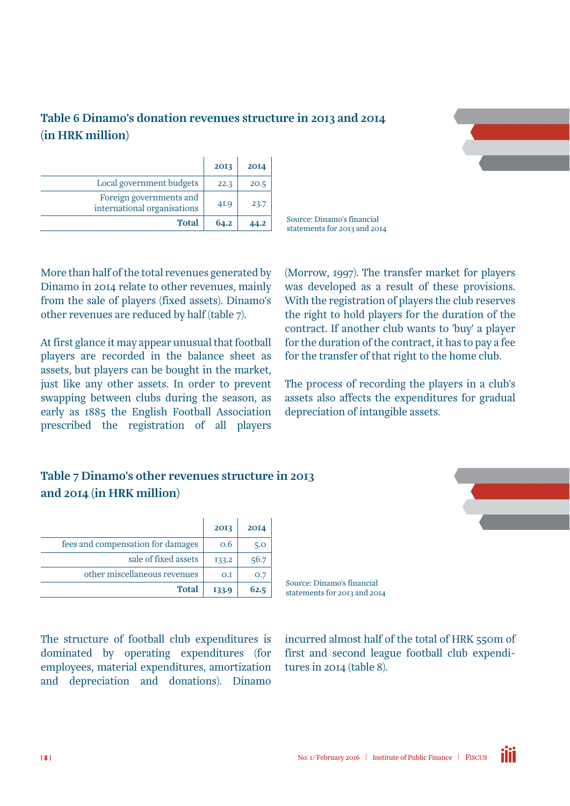#### Table 6 Dinamo's donation revenues structure in 2013 and 2014 (in HRK million)



|                                                        | 2013 | 2014 |
|--------------------------------------------------------|------|------|
| Local government budgets                               | 22.3 | 20.5 |
| Foreign governments and<br>international organisations | 41.9 | 23.7 |
| <b>Total</b>                                           | 64.2 | 44.2 |

Source: Dinamo's financial statements for 2013 and 2014

More than half of the total revenues generated by Dinamo in 2014 relate to other revenues, mainly from the sale of players (fixed assets). Dinamo's other revenues are reduced by half (table 7).

At first glance it may appear unusual that football players are recorded in the balance sheet as assets, but players can be bought in the market, just like any other assets. In order to prevent swapping between clubs during the season, as early as 1885 the English Football Association prescribed the registration of all players (Morrow, 1997). The transfer market for players was developed as a result of these provisions. With the registration of players the club reserves the right to hold players for the duration of the contract. If another club wants to 'buy' a player for the duration of the contract, it has to pay a fee for the transfer of that right to the home club.

The process of recording the players in a club's assets also affects the expenditures for gradual depreciation of intangible assets.

#### Table 7 Dinamo's other revenues structure in 2013 and 2014 (in HRK million)

|                                   | 2013  | 2014 |
|-----------------------------------|-------|------|
| fees and compensation for damages | 0.6   | 5.0  |
| sale of fixed assets              | 133.2 | 56.7 |
| other miscellaneous revenues      | O.I   | O.7  |
| <b>Total</b>                      | 133.9 | 62.5 |

The structure of football club expenditures is dominated by operating expenditures (for employees, material expenditures, amortization and depreciation and donations). Dinamo

Source: Dinamo's financial statements for 2013 and 2014

incurred almost half of the total of HRK 550m of first and second league football club expenditures in 2014 (table 8).

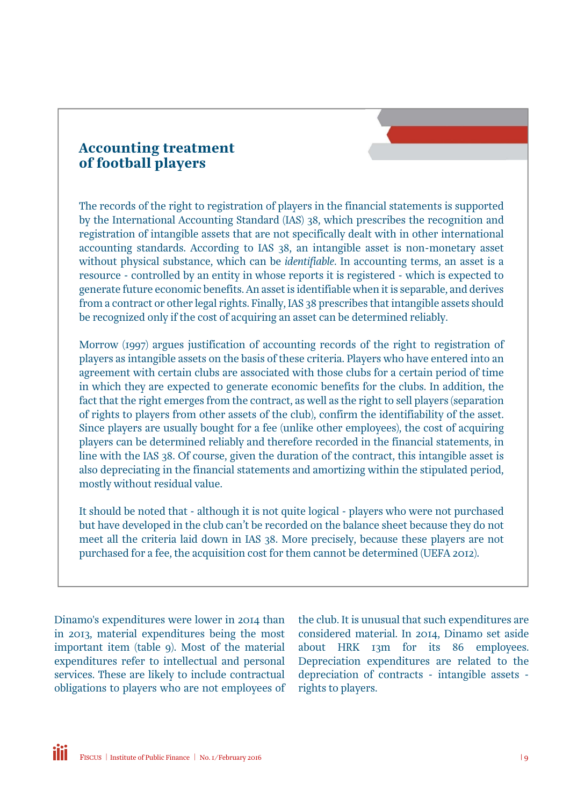#### Accounting treatment of football players

The records of the right to registration of players in the financial statements is supported by the International Accounting Standard (IAS) 38, which prescribes the recognition and registration of intangible assets that are not specifically dealt with in other international accounting standards. According to IAS 38, an intangible asset is non-monetary asset without physical substance, which can be *identifiable*. In accounting terms, an asset is a resource - controlled by an entity in whose reports it is registered - which is expected to generate future economic benefits. An asset is identifiable when it is separable, and derives from a contract or other legal rights. Finally, IAS 38 prescribes that intangible assets should be recognized only if the cost of acquiring an asset can be determined reliably.

Morrow (1997) argues justification of accounting records of the right to registration of players as intangible assets on the basis of these criteria. Players who have entered into an agreement with certain clubs are associated with those clubs for a certain period of time in which they are expected to generate economic benefits for the clubs. In addition, the fact that the right emerges from the contract, as well as the right to sell players (separation of rights to players from other assets of the club), confirm the identifiability of the asset. Since players are usually bought for a fee (unlike other employees), the cost of acquiring players can be determined reliably and therefore recorded in the financial statements, in line with the IAS 38. Of course, given the duration of the contract, this intangible asset is also depreciating in the financial statements and amortizing within the stipulated period, mostly without residual value.

It should be noted that - although it is not quite logical - players who were not purchased but have developed in the club can't be recorded on the balance sheet because they do not meet all the criteria laid down in IAS 38. More precisely, because these players are not purchased for a fee, the acquisition cost for them cannot be determined (UEFA 2012).

Dinamo's expenditures were lower in 2014 than in 2013, material expenditures being the most important item (table 9). Most of the material expenditures refer to intellectual and personal services. These are likely to include contractual obligations to players who are not employees of the club. It is unusual that such expenditures are considered material. In 2014, Dinamo set aside about HRK 13m for its 86 employees. Depreciation expenditures are related to the depreciation of contracts - intangible assets rights to players.

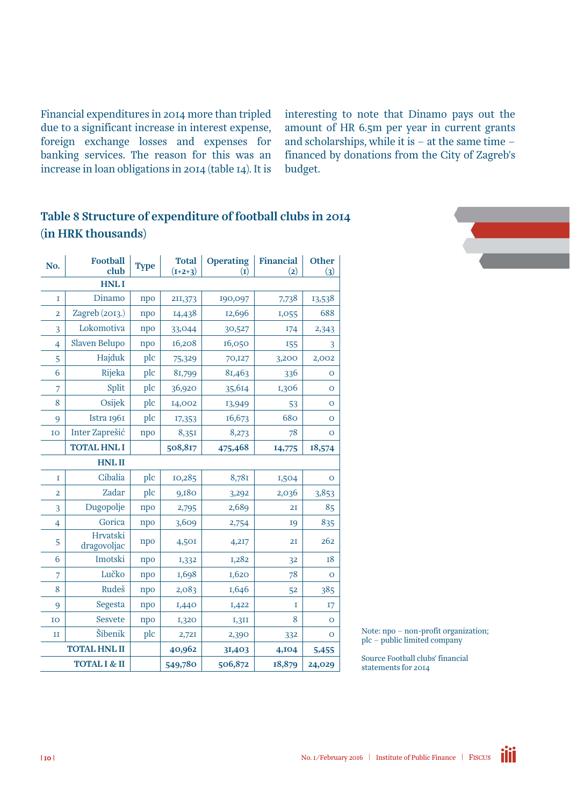Financial expenditures in 2014 more than tripled due to a significant increase in interest expense, foreign exchange losses and expenses for banking services. The reason for this was an increase in loan obligations in 2014 (table 14). It is interesting to note that Dinamo pays out the amount of HR 6.5m per year in current grants and scholarships, while it is – at the same time – financed by donations from the City of Zagreb's budget.

#### Table 8 Structure of expenditure of football clubs in 2014 (in HRK thousands)

| No.                     | <b>Football</b><br>club | <b>Type</b> | <b>Total</b><br>$(I+2+3)$ | <b>Operating</b><br>$\bf (I)$ | <b>Financial</b><br>(2) | <b>Other</b><br>(3) |
|-------------------------|-------------------------|-------------|---------------------------|-------------------------------|-------------------------|---------------------|
|                         | <b>HNLI</b>             |             |                           |                               |                         |                     |
| I                       | Dinamo                  | npo         | 211,373                   | 190,097                       | 7,738                   | 13,538              |
| $\overline{\mathbf{c}}$ | Zagreb (2013.)          | npo         | 14,438                    | 12,696                        | 1,055                   | 688                 |
| 3                       | Lokomotiva              | npo         | 33,044                    | 30,527                        | 174                     | 2,343               |
| $\overline{4}$          | Slaven Belupo           | npo         | 16,208                    | 16,050                        | 155                     | 3                   |
| 5                       | Hajduk                  | plc         | 75,329                    | 70,127                        | 3,200                   | 2,002               |
| 6                       | Rijeka                  | plc         | 81,799                    | 81,463                        | 336                     | O                   |
| 7                       | Split                   | plc         | 36,920                    | 35,614                        | 1,306                   | $\mathbf{O}$        |
| 8                       | Osijek                  | plc         | 14,002                    | 13,949                        | 53                      | $\mathbf O$         |
| 9                       | Istra 1961              | plc         | 17,353                    | 16,673                        | 680                     | $\mathbf O$         |
| IO                      | Inter Zaprešić          | npo         | 8,351                     | 8,273                         | 78                      | $\mathbf O$         |
|                         | <b>TOTAL HNL I</b>      |             | 508,817                   | 475,468                       | 14,775                  | 18,574              |
|                         | <b>HNLII</b>            |             |                           |                               |                         |                     |
| 1                       | Cibalia                 | plc         | 10,285                    | 8,781                         | 1,504                   | $\mathbf{O}$        |
| 2                       | Zadar                   | plc         | 9,180                     | 3,292                         | 2,036                   | 3,853               |
| 3                       | Dugopolje               | npo         | 2,795                     | 2,689                         | 2I                      | 85                  |
| $\overline{4}$          | Gorica                  | npo         | 3,609                     | 2,754                         | <b>19</b>               | 835                 |
| 5                       | Hrvatski<br>dragovoljac | npo         | 4,501                     | 4,217                         | 2I                      | 262                 |
| 6                       | Imotski                 | npo         | 1,332                     | 1,282                         | 32                      | <b>18</b>           |
| 7                       | Lučko                   | npo         | I,698                     | 1,620                         | 78                      | $\overline{O}$      |
| 8                       | Rudeš                   | npo         | 2,083                     | 1,646                         | 52                      | 385                 |
| 9                       | Segesta                 | npo         | 1,440                     | 1,422                         | I                       | 17                  |
| IO                      | Sesvete                 | npo         | <b>I,320</b>              | I,3II                         | 8                       | $\mathbf{O}$        |
| $_{\rm II}$             | Šibenik                 | plc         | 2,72I                     | 2,390                         | 332                     | O                   |
|                         | <b>TOTAL HNL II</b>     |             | 40,962                    | 31,403                        | 4,104                   | 5,455               |
|                         | TOTAL I & II            |             | 549,780                   | 506,872                       | 18,879                  | 24,029              |



Note: npo – non-profit organization; plc – public limited company

Source Football clubs' financial statements for 2014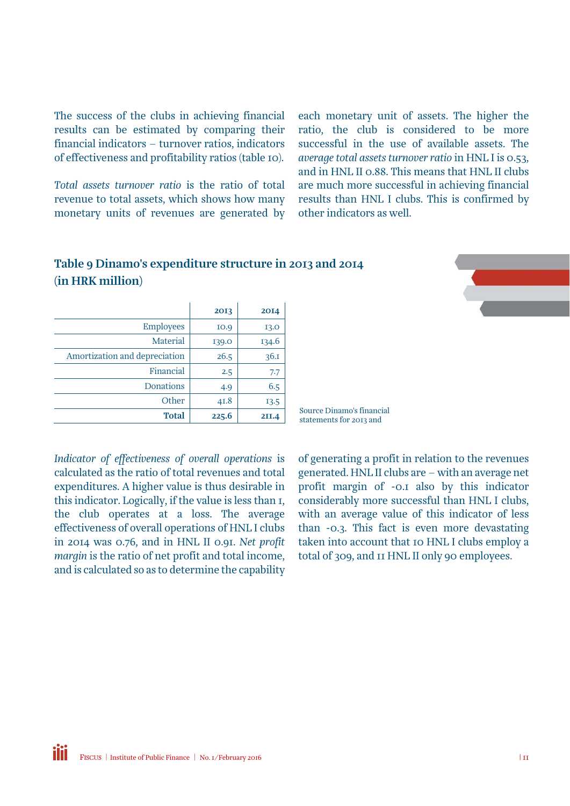The success of the clubs in achieving financial results can be estimated by comparing their financial indicators – turnover ratios, indicators of effectiveness and profitability ratios (table 10).

*Total assets turnover ratio* is the ratio of total revenue to total assets, which shows how many monetary units of revenues are generated by each monetary unit of assets. The higher the ratio, the club is considered to be more successful in the use of available assets. The *average total assets turnover ratio* in HNL I is 0.53, and in HNL II 0.88. This means that HNL II clubs are much more successful in achieving financial results than HNL I clubs. This is confirmed by other indicators as well.

#### Table 9 Dinamo's expenditure structure in 2013 and 2014 (in HRK million)

|                               | 2013        | 2014  |
|-------------------------------|-------------|-------|
| <b>Employees</b>              | <b>IO.9</b> | 13.0  |
| Material                      | 139.0       | 134.6 |
| Amortization and depreciation | 26.5        | 36.1  |
| Financial                     | 2.5         | 7.7   |
| Donations                     | 4.9         | 6.5   |
| Other                         | 41.8        | 13.5  |
| <b>Total</b>                  | 225.6       | 2II.4 |

*Indicator of effectiveness of overall operations* is calculated as the ratio of total revenues and total expenditures. A higher value is thus desirable in this indicator. Logically, if the value is less than 1, the club operates at a loss. The average effectiveness of overall operations of HNL I clubs in 2014 was 0.76, and in HNL II 0.91. *Net profit margin* is the ratio of net profit and total income, and is calculated so as to determine the capability Source Dinamo's financial statements for 2013 and

of generating a profit in relation to the revenues generated. HNL II clubs are – with an average net profit margin of -0.1 also by this indicator considerably more successful than HNL I clubs, with an average value of this indicator of less than -0.3. This fact is even more devastating taken into account that 10 HNL I clubs employ a total of 309, and 11 HNL II only 90 employees.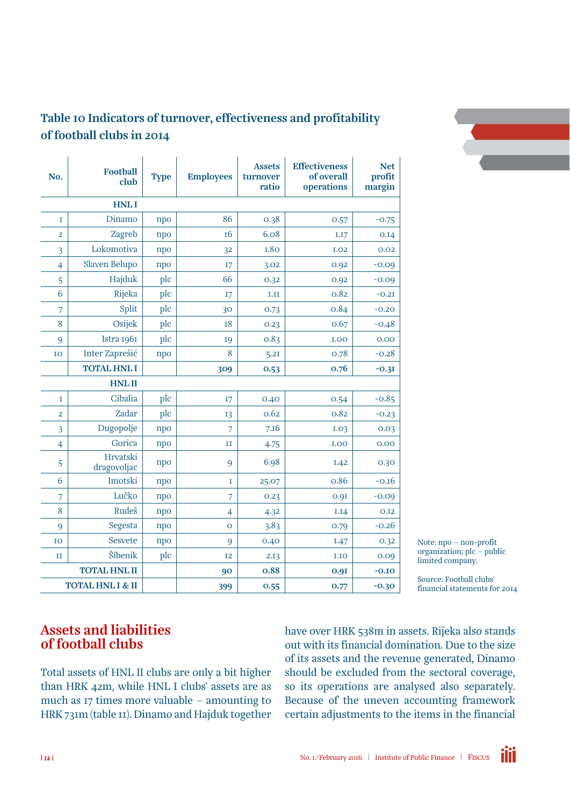

#### Table 10 Indicators of turnover, effectiveness and profitability of football clubs in 2014

| No.                         | <b>Football</b><br>club | <b>Type</b> | <b>Employees</b> | <b>Assets</b><br>turnover<br>ratio | <b>Effectiveness</b><br>of overall<br>operations | <b>Net</b><br>profit<br>margin |
|-----------------------------|-------------------------|-------------|------------------|------------------------------------|--------------------------------------------------|--------------------------------|
|                             | <b>HNLI</b>             |             |                  |                                    |                                                  |                                |
| I                           | Dinamo                  | npo         | 86               | 0.38                               | 0.57                                             | $-0.75$                        |
| 2                           | Zagreb                  | npo         | 16               | 6.08                               | I.I7                                             | 0.14                           |
| 3                           | Lokomotiva              | npo         | 32               | <b>I.80</b>                        | <b>I.O2</b>                                      | 0.02                           |
| 4                           | Slaven Belupo           | npo         | I7               | 3.02                               | 0.92                                             | $-0.09$                        |
| 5                           | Hajduk                  | plc         | 66               | 0.32                               | 0.92                                             | $-0.09$                        |
| 6                           | Rijeka                  | plc         | I7               | I.II                               | 0.82                                             | $-0.2I$                        |
| 7                           | Split                   | plc         | 30               | 0.73                               | 0.84                                             | $-0.20$                        |
| 8                           | Osijek                  | plc         | <b>18</b>        | 0.23                               | 0.67                                             | $-0.48$                        |
| 9                           | Istra 1961              | plc         | <b>I9</b>        | 0.83                               | I.OO                                             | 0.00                           |
| IO                          | Inter Zaprešić          | npo         | 8                | 5.2I                               | 0.78                                             | $-0.28$                        |
|                             | <b>TOTAL HNL I</b>      |             | 309              | 0.53                               | 0.76                                             | $-0.3I$                        |
|                             | <b>HNLII</b>            |             |                  |                                    |                                                  |                                |
| I                           | Cibalia                 | plc         | I7               | 0.40                               | 0.54                                             | $-0.85$                        |
| 2                           | Zadar                   | plc         | 13               | 0.62                               | 0.82                                             | $-0.23$                        |
| 3                           | Dugopolje               | npo         | 7                | 7.16                               | I.03                                             | 0.03                           |
| $\overline{4}$              | Gorica                  | npo         | $_{\rm II}$      | 4.75                               | <b>I.OO</b>                                      | 0.00                           |
| 5                           | Hrvatski<br>dragovoljac | npo         | 9                | 6.98                               | I.42                                             | 0.30                           |
| 6                           | Imotski                 | npo         | I                | 25.07                              | 0.86                                             | $-0.16$                        |
| 7                           | Lučko                   | npo         | 7                | 0.23                               | 0.9I                                             | $-0.09$                        |
| 8                           | Rudeš                   | npo         | $\overline{4}$   | 4.32                               | I.I4                                             | 0.12                           |
| 9                           | Segesta                 | npo         | $\overline{O}$   | 3.83                               | 0.79                                             | $-0.26$                        |
| IO                          | Sesvete                 | npo         | 9                | 0.40                               | I.47                                             | 0.32                           |
| п                           | Šibenik                 | plc         | <b>I2</b>        | 2.13                               | I.IO                                             | 0.09                           |
|                             | <b>TOTAL HNL II</b>     |             | 90               | 0.88                               | 0.9I                                             | $-0.10$                        |
| <b>TOTAL HNL I &amp; II</b> |                         |             | 399              | 0.55                               | 0.77                                             | $-0.30$                        |

Note: npo – non-profit organization; plc – public limited company.

Source: Football clubs' financial statements for 2014

#### Assets and liabilities of football clubs

Total assets of HNL II clubs are only a bit higher than HRK 42m, while HNL I clubs' assets are as much as 17 times more valuable – amounting to HRK 731m (table 11). Dinamo and Hajduk together have over HRK 538m in assets. Rijeka also stands out with its financial domination. Due to the size of its assets and the revenue generated, Dinamo should be excluded from the sectoral coverage, so its operations are analysed also separately. Because of the uneven accounting framework certain adjustments to the items in the financial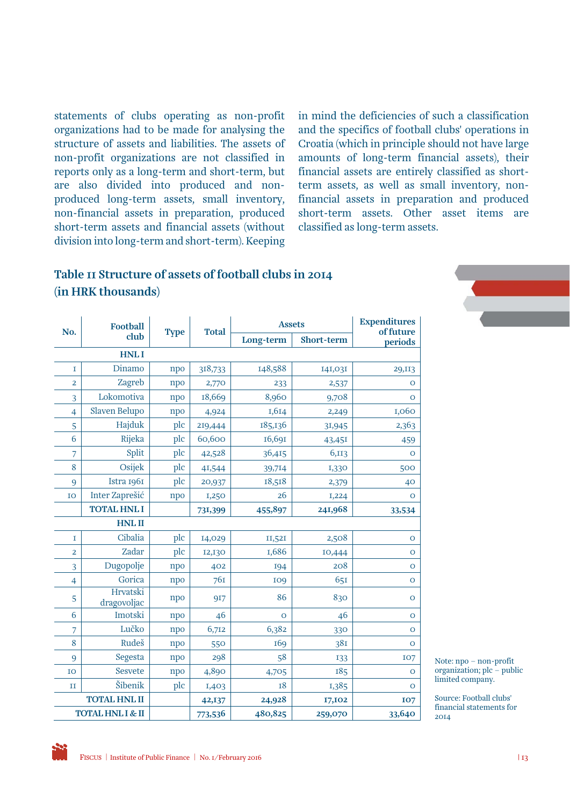statements of clubs operating as non-profit organizations had to be made for analysing the structure of assets and liabilities. The assets of non-profit organizations are not classified in reports only as a long-term and short-term, but are also divided into produced and nonproduced long-term assets, small inventory, non-financial assets in preparation, produced short-term assets and financial assets (without division into long-term and short-term). Keeping

in mind the deficiencies of such a classification and the specifics of football clubs' operations in Croatia (which in principle should not have large amounts of long-term financial assets), their financial assets are entirely classified as shortterm assets, as well as small inventory, nonfinancial assets in preparation and produced short-term assets. Other asset items are classified as long-term assets.

#### Table 11 Structure of assets of football clubs in 2014 (in HRK thousands)

| No.            | <b>Football</b>         | <b>Type</b> | <b>Total</b> | <b>Assets</b> | <b>Expenditures</b><br>of future |                |
|----------------|-------------------------|-------------|--------------|---------------|----------------------------------|----------------|
|                | club                    |             |              | Long-term     | Short-term                       | periods        |
|                | <b>HNLI</b>             |             |              |               |                                  |                |
| I              | Dinamo                  | npo         | 318,733      | 148,588       | 141,031                          | 29, II3        |
| $\overline{2}$ | Zagreb                  | npo         | 2,770        | 233           | 2,537                            | $\overline{O}$ |
| $\overline{3}$ | Lokomotiva              | npo         | 18,669       | 8,960         | 9,708                            | $\circ$        |
| $\overline{4}$ | Slaven Belupo           | npo         | 4,924        | 1,614         | 2,249                            | 1,060          |
| 5              | Hajduk                  | plc         | 219,444      | 185,136       | 31,945                           | 2,363          |
| 6              | Rijeka                  | plc         | 60,600       | 16,691        | 43,451                           | 459            |
| 7              | Split                   | plc         | 42,528       | 36,415        | 6,113                            | $\overline{O}$ |
| 8              | Osijek                  | plc         | 41,544       | 39,714        | 1,330                            | 500            |
| 9              | Istra 1961              | plc         | 20,937       | 18,518        | 2,379                            | 40             |
| IO             | Inter Zaprešić          | npo         | 1,250        | 26            | I,224                            | $\circ$        |
|                | <b>TOTAL HNL I</b>      |             | 731,399      | 455,897       | 241,968                          | 33,534         |
|                | <b>HNLII</b>            |             |              |               |                                  |                |
| I              | Cibalia                 | plc         | 14,029       | II,52I        | 2,508                            | $\mathbf O$    |
| $\overline{2}$ | Zadar                   | plc         | 12,130       | 1,686         | 10,444                           | $\mathbf O$    |
| $\overline{3}$ | Dugopolje               | npo         | 402          | 194           | 208                              | $\mathbf O$    |
| $\overline{4}$ | Gorica                  | npo         | 76I          | <b>109</b>    | 651                              | $\mathbf O$    |
| 5              | Hrvatski<br>dragovoljac | npo         | 917          | 86            | 830                              | $\mathbf O$    |
| 6              | Imotski                 | npo         | 46           | $\circ$       | 46                               | $\mathbf O$    |
| 7              | Lučko                   | npo         | 6,712        | 6,382         | 330                              | $\overline{O}$ |
| 8              | Rudeš                   | npo         | 550          | 169           | 38I                              | $\circ$        |
| 9              | Segesta                 | npo         | 298          | 58            | 133                              | <b>IO7</b>     |
| IO             | Sesvete                 | npo         | 4,890        | 4,705         | 185                              | $\circ$        |
| II             | Šibenik                 | plc         | 1,403        | 18            | 1,385                            | $\mathbf O$    |
|                | <b>TOTAL HNL II</b>     |             | 42, 137      | 24,928        | 17,102                           | <b>107</b>     |
|                | TOTAL HNL I & II        |             | 773,536      | 480,825       | 259,070                          | 33,640         |

Note: npo – non-profit organization; plc – public limited company.

Source: Football clubs' financial statements for 2014

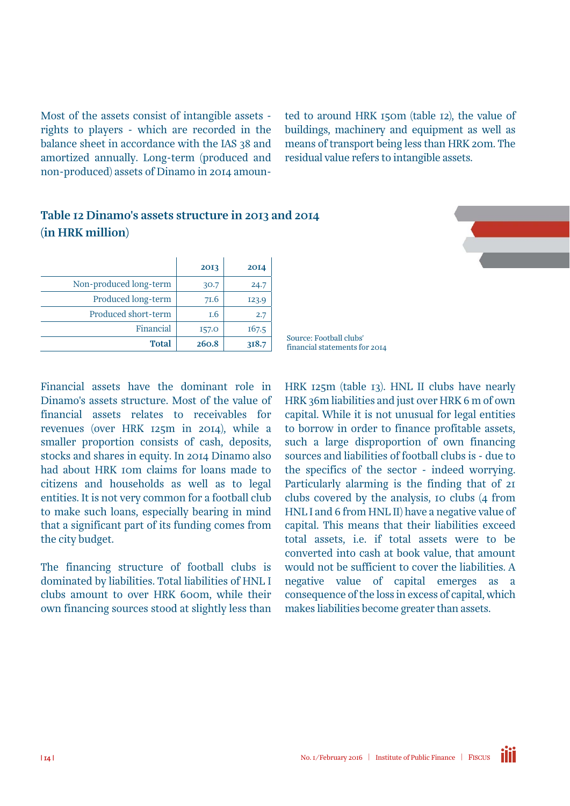Most of the assets consist of intangible assets rights to players - which are recorded in the balance sheet in accordance with the IAS 38 and amortized annually. Long-term (produced and non-produced) assets of Dinamo in 2014 amoun-

Table 12 Dinamo's assets structure in 2013 and 2014

ted to around HRK 150m (table 12), the value of buildings, machinery and equipment as well as means of transport being less than HRK 20m. The residual value refers to intangible assets.

|                        | 2013  | 2014  |
|------------------------|-------|-------|
| Non-produced long-term | 30.7  | 24.7  |
| Produced long-term     | 7I.6  | 123.9 |
| Produced short-term    | 1.6   | 2.7   |
| Financial              | I57.0 | 167.5 |
| <b>Total</b>           | 260.8 | 318.7 |

(in HRK million)

Financial assets have the dominant role in Dinamo's assets structure. Most of the value of financial assets relates to receivables for revenues (over HRK 125m in 2014), while a smaller proportion consists of cash, deposits, stocks and shares in equity. In 2014 Dinamo also had about HRK 10m claims for loans made to citizens and households as well as to legal entities. It is not very common for a football club to make such loans, especially bearing in mind that a significant part of its funding comes from the city budget.

The financing structure of football clubs is dominated by liabilities. Total liabilities of HNL I clubs amount to over HRK 600m, while their own financing sources stood at slightly less than

Source: Football clubs' financial statements for 2014

HRK 125m (table 13). HNL II clubs have nearly HRK 36m liabilities and just over HRK 6 m of own capital. While it is not unusual for legal entities to borrow in order to finance profitable assets, such a large disproportion of own financing sources and liabilities of football clubs is - due to the specifics of the sector - indeed worrying. Particularly alarming is the finding that of 21 clubs covered by the analysis, 10 clubs (4 from HNL I and 6 from HNL II) have a negative value of capital. This means that their liabilities exceed total assets, i.e. if total assets were to be converted into cash at book value, that amount would not be sufficient to cover the liabilities. A negative value of capital emerges as a consequence of the loss in excess of capital, which makes liabilities become greater than assets.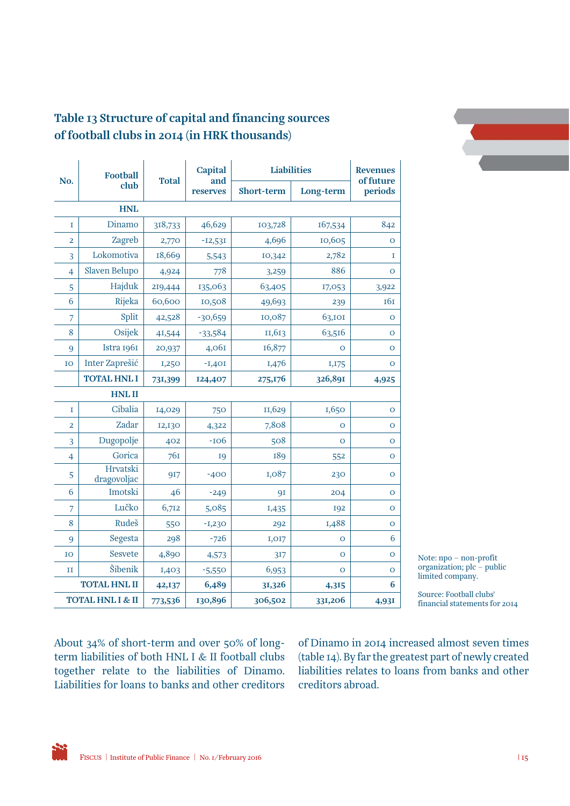

#### Table 13 Structure of capital and financing sources of football clubs in 2014 (in HRK thousands)

| No.                     | <b>Football</b><br>club                                      | <b>Total</b> | <b>Capital</b><br>and<br>reserves | <b>Liabilities</b> |                | <b>Revenues</b>      |  |
|-------------------------|--------------------------------------------------------------|--------------|-----------------------------------|--------------------|----------------|----------------------|--|
|                         |                                                              |              |                                   | Short-term         | Long-term      | of future<br>periods |  |
| <b>HNL</b>              |                                                              |              |                                   |                    |                |                      |  |
| I                       | Dinamo                                                       | 318,733      | 46,629                            | 103,728            | 167,534        | 842                  |  |
| $\overline{\mathbf{2}}$ | Zagreb                                                       | 2,770        | $-12,531$                         | 4,696              | 10,605         | O                    |  |
| $\overline{3}$          | Lokomotiva                                                   | 18,669       | 5,543                             | 10,342             | 2,782          | $\mathbf I$          |  |
| $\overline{4}$          | Slaven Belupo                                                | 4,924        | 778                               | 3,259              | 886            | $\mathbf O$          |  |
| 5                       | Hajduk                                                       | 219,444      | 135,063                           | 63,405             | 17,053         | 3,922                |  |
| 6                       | Rijeka                                                       | 60,600       | 10,508                            | 49,693             | 239            | <b>161</b>           |  |
| $\overline{7}$          | Split                                                        | 42,528       | $-30,659$                         | 10,087             | 63,101         | $\mathbf O$          |  |
| 8                       | Osijek                                                       | 41,544       | $-33,584$                         | 11,613             | 63,516         | $\overline{O}$       |  |
| 9                       | Istra 1961                                                   | 20,937       | 4,061                             | 16,877             | $\Omega$       | $\mathbf O$          |  |
| IO                      | Inter Zaprešić                                               | 1,250        | $-1,401$                          | 1,476              | I, 175         | $\mathbf O$          |  |
|                         | <b>TOTAL HNL I</b>                                           | 731,399      | 124,407                           | 275,176            | 326,891        | 4,925                |  |
| <b>HNLII</b>            |                                                              |              |                                   |                    |                |                      |  |
| I                       | Cibalia                                                      | 14,029       | 750                               | II,629             | 1,650          | $\mathbf O$          |  |
| $\overline{\mathbf{2}}$ | Zadar                                                        | 12,130       | 4,322                             | 7,808              | $\overline{O}$ | $\mathbf O$          |  |
| 3                       | Dugopolje                                                    | 402          | -106                              | 508                | O              | $\mathbf O$          |  |
| $\overline{4}$          | Gorica                                                       | 76I          | <b>19</b>                         | 189                | 552            | $\mathbf O$          |  |
| 5                       | Hrvatski<br>dragovoljac                                      | 917          | $-400$                            | 1,087              | 230            | $\mathbf O$          |  |
| 6                       | Imotski                                                      | 46           | $-249$                            | 91                 | 204            | $\mathbf O$          |  |
| $\overline{7}$          | Lučko                                                        | 6,712        | 5,085                             | 1,435              | <b>I92</b>     | $\mathsf O$          |  |
| 8                       | Rudeš                                                        | 550          | $-1,230$                          | 292                | 1,488          | $\mathsf O$          |  |
| 9                       | Segesta                                                      | 298          | $-726$                            | I, 017             | $\circ$        | 6                    |  |
| IO                      | <b>Sesvete</b>                                               | 4,890        | 4,573                             | 317                | $\overline{O}$ | $\overline{O}$       |  |
| $_{\rm II}$             | Šibenik                                                      | 1,403        | $-5,550$                          | 6,953              | $\circ$        | $\mathbf O$          |  |
| <b>TOTAL HNL II</b>     |                                                              | 42,137       | 6,489                             | 31,326             | 4,315          | 6                    |  |
|                         | 130,896<br>TOTAL HNL I & II<br>306,502<br>331,206<br>773,536 |              | 4,931                             |                    |                |                      |  |

Note: npo – non-profit organization; plc – public limited company.

Source: Football clubs' financial statements for 2014

About 34% of short-term and over 50% of longterm liabilities of both HNL I & II football clubs together relate to the liabilities of Dinamo. Liabilities for loans to banks and other creditors of Dinamo in 2014 increased almost seven times (table 14). By far the greatest part of newly created liabilities relates to loans from banks and other creditors abroad.

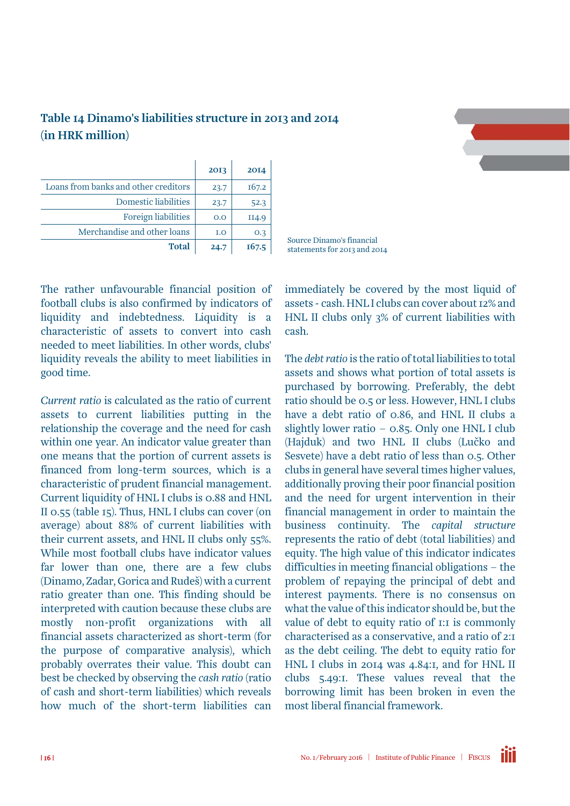

| (IN HRK MIIIION)                     |      |       |  |  |  |  |  |  |
|--------------------------------------|------|-------|--|--|--|--|--|--|
|                                      | 2013 | 2014  |  |  |  |  |  |  |
| Loans from banks and other creditors | 23.7 | 167.2 |  |  |  |  |  |  |
| Domestic liabilities                 | 23.7 | 52.3  |  |  |  |  |  |  |
| Foreign liabilities                  | O.O  | II4.9 |  |  |  |  |  |  |
| Merchandise and other loans          | I.O  | 0.3   |  |  |  |  |  |  |

**Total** 

#### Table 14 Dinamo's liabilities structure in 2013 and 2014  $\left(\frac{1}{2}n$  HDK  $m$ <sup>111</sup>  $\alpha$

The rather unfavourable financial position of football clubs is also confirmed by indicators of liquidity and indebtedness. Liquidity is a characteristic of assets to convert into cash needed to meet liabilities. In other words, clubs' liquidity reveals the ability to meet liabilities in good time.

*Current ratio* is calculated as the ratio of current assets to current liabilities putting in the relationship the coverage and the need for cash within one year. An indicator value greater than one means that the portion of current assets is financed from long-term sources, which is a characteristic of prudent financial management. Current liquidity of HNL I clubs is 0.88 and HNL II 0.55 (table 15). Thus, HNL I clubs can cover (on average) about 88% of current liabilities with their current assets, and HNL II clubs only 55%. While most football clubs have indicator values far lower than one, there are a few clubs (Dinamo, Zadar, Gorica and Rudeš) with a current ratio greater than one. This finding should be interpreted with caution because these clubs are mostly non-profit organizations with all financial assets characterized as short-term (for the purpose of comparative analysis), which probably overrates their value. This doubt can best be checked by observing the *cash ratio* (ratio of cash and short-term liabilities) which reveals how much of the short-term liabilities can

immediately be covered by the most liquid of assets - cash. HNL I clubs can cover about 12% and HNL II clubs only 3% of current liabilities with cash.

Source Dinamo's financial statements for 2013 and 2014

The *debt ratio* is the ratio of total liabilities to total assets and shows what portion of total assets is purchased by borrowing. Preferably, the debt ratio should be 0.5 or less. However, HNL I clubs have a debt ratio of 0.86, and HNL II clubs a slightly lower ratio  $-$  0.85. Only one HNL I club (Hajduk) and two HNL II clubs (Lučko and Sesvete) have a debt ratio of less than 0.5. Other clubs in general have several times higher values, additionally proving their poor financial position and the need for urgent intervention in their financial management in order to maintain the business continuity. The *capital structure* represents the ratio of debt (total liabilities) and equity. The high value of this indicator indicates difficulties in meeting financial obligations – the problem of repaying the principal of debt and interest payments. There is no consensus on what the value of this indicator should be, but the value of debt to equity ratio of 1:1 is commonly characterised as a conservative, and a ratio of 2:1 as the debt ceiling. The debt to equity ratio for HNL I clubs in 2014 was 4.84:1, and for HNL II clubs 5.49:1. These values reveal that the borrowing limit has been broken in even the most liberal financial framework.

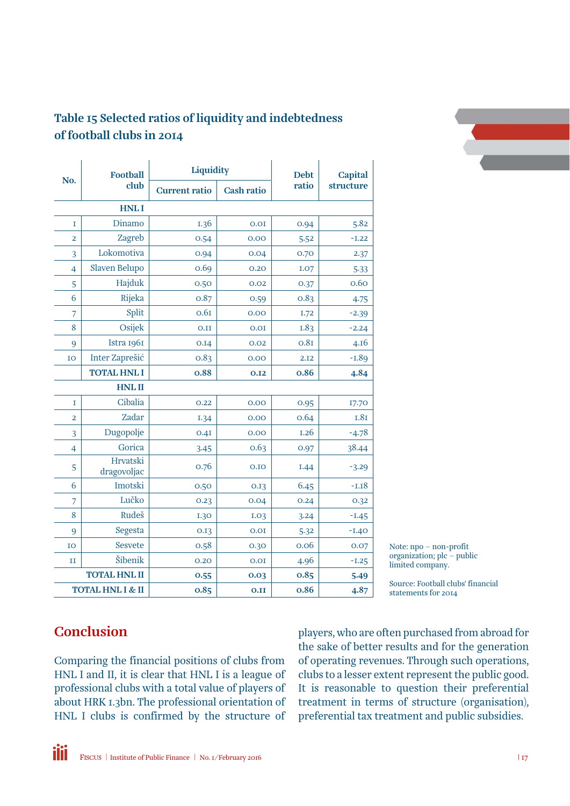

| No.                         | <b>Football</b>         | Liquidity            |                   | <b>Debt</b> | <b>Capital</b><br>structure |  |  |  |
|-----------------------------|-------------------------|----------------------|-------------------|-------------|-----------------------------|--|--|--|
|                             | club                    | <b>Current ratio</b> | <b>Cash ratio</b> | ratio       |                             |  |  |  |
| <b>HNLI</b>                 |                         |                      |                   |             |                             |  |  |  |
| $\mathbf I$                 | Dinamo                  | 1.36                 | 0.01              | 0.94        | 5.82                        |  |  |  |
| $\overline{2}$              | Zagreb                  | 0.54                 | 0.00              | 5.52        | $-1.22$                     |  |  |  |
| 3                           | Lokomotiva              | 0.94                 | 0.04              | 0.70        | 2.37                        |  |  |  |
| $\overline{4}$              | Slaven Belupo           | 0.69                 | 0.20              | <b>I.O7</b> | 5.33                        |  |  |  |
| 5                           | Hajduk                  | 0.50                 | 0.02              | 0.37        | 0.60                        |  |  |  |
| 6                           | Rijeka                  | 0.87                 | 0.59              | 0.83        | 4.75                        |  |  |  |
| 7                           | Split                   | 0.61                 | 0.00              | I.72        | $-2.39$                     |  |  |  |
| 8                           | Osijek                  | 0.11                 | 0.01              | <b>I.83</b> | $-2.24$                     |  |  |  |
| 9                           | Istra 1961              | 0.14                 | 0.02              | 0.81        | 4.16                        |  |  |  |
| IO                          | Inter Zaprešić          | 0.83                 | 0.00              | 2.12        | $-1.89$                     |  |  |  |
|                             | <b>TOTAL HNL I</b>      | 0.88                 | 0.12              | 0.86        | 4.84                        |  |  |  |
|                             | <b>HNLII</b>            |                      |                   |             |                             |  |  |  |
| 1                           | Cibalia                 | 0.22                 | 0.00              | 0.95        | 17.70                       |  |  |  |
| 2                           | Zadar                   | 1.34                 | 0.00              | 0.64        | <b>I.81</b>                 |  |  |  |
| 3                           | Dugopolje               | 0.4I                 | 0.00              | 1.26        | $-4.78$                     |  |  |  |
| $\overline{4}$              | Gorica                  | 3.45                 | 0.63              | 0.97        | 38.44                       |  |  |  |
| 5                           | Hrvatski<br>dragovoljac | 0.76                 | 0.10              | I.44        | $-3.29$                     |  |  |  |
| 6                           | Imotski                 | 0.50                 | 0.13              | 6.45        | $-1.18$                     |  |  |  |
| 7                           | Lučko                   | 0.23                 | 0.04              | 0.24        | 0.32                        |  |  |  |
| 8                           | Rudeš                   | 1.30                 | I.O <sub>3</sub>  | 3.24        | $-1.45$                     |  |  |  |
| 9                           | Segesta                 | 0.13                 | 0.01              | 5.32        | $-1.40$                     |  |  |  |
| IO                          | Sesvete                 | 0.58                 | 0.30              | 0.06        | 0.07                        |  |  |  |
| $_{II}$                     | Šibenik                 | 0.20                 | 0.01              | 4.96        | $-1.25$                     |  |  |  |
| <b>TOTAL HNL II</b>         |                         | 0.55                 | 0.03              | 0.85        | 5.49                        |  |  |  |
| <b>TOTAL HNL I &amp; II</b> |                         | 0.85                 | 0.11              | 0.86        | 4.87                        |  |  |  |

Note: npo – non-profit organization; plc – public limited company.

Source: Football clubs' financial statements for 2014

#### **Conclusion**

Comparing the financial positions of clubs from HNL I and II, it is clear that HNL I is a league of professional clubs with a total value of players of about HRK 1.3bn. The professional orientation of HNL I clubs is confirmed by the structure of players, who are often purchased from abroad for the sake of better results and for the generation of operating revenues. Through such operations, clubs to a lesser extent represent the public good. It is reasonable to question their preferential treatment in terms of structure (organisation), preferential tax treatment and public subsidies.

FISCUS | Institute of Public Finance | No. 1/February 2016 | 17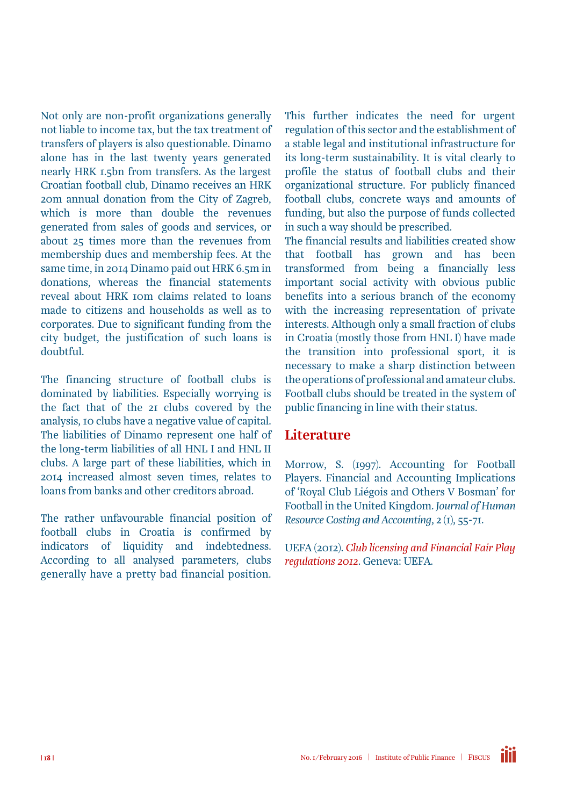Not only are non-profit organizations generally not liable to income tax, but the tax treatment of transfers of players is also questionable. Dinamo alone has in the last twenty years generated nearly HRK 1.5bn from transfers. As the largest Croatian football club, Dinamo receives an HRK 20m annual donation from the City of Zagreb, which is more than double the revenues generated from sales of goods and services, or about 25 times more than the revenues from membership dues and membership fees. At the same time, in 2014 Dinamo paid out HRK 6.5m in donations, whereas the financial statements reveal about HRK 10m claims related to loans made to citizens and households as well as to corporates. Due to significant funding from the city budget, the justification of such loans is doubtful.

The financing structure of football clubs is dominated by liabilities. Especially worrying is the fact that of the 21 clubs covered by the analysis, 10 clubs have a negative value of capital. The liabilities of Dinamo represent one half of the long-term liabilities of all HNL I and HNL II clubs. A large part of these liabilities, which in 2014 increased almost seven times, relates to loans from banks and other creditors abroad.

The rather unfavourable financial position of football clubs in Croatia is confirmed by indicators of liquidity and indebtedness. According to all analysed parameters, clubs generally have a pretty bad financial position.

This further indicates the need for urgent regulation of this sector and the establishment of a stable legal and institutional infrastructure for its long-term sustainability. It is vital clearly to profile the status of football clubs and their organizational structure. For publicly financed football clubs, concrete ways and amounts of funding, but also the purpose of funds collected in such a way should be prescribed.

The financial results and liabilities created show that football has grown and has been transformed from being a financially less important social activity with obvious public benefits into a serious branch of the economy with the increasing representation of private interests. Although only a small fraction of clubs in Croatia (mostly those from HNL I) have made the transition into professional sport, it is necessary to make a sharp distinction between the operations of professional and amateur clubs. Football clubs should be treated in the system of public financing in line with their status.

#### **Literature**

Morrow, S. (1997). Accounting for Football Players. Financial and Accounting Implications of 'Royal Club Liégois and Others V Bosman' for Football in the United Kingdom. *Journal of Human Resource Costing and Accounting*, 2 (1), 55-71.

UEFA (2012). *[Club licensing and Financial Fair Play](http://www.uefa.com/MultimediaFiles/Download/Tech/uefaorg/General/01/80/54/10/1805410_DOWNLOAD.pdf) [regulations 2012](http://www.uefa.com/MultimediaFiles/Download/Tech/uefaorg/General/01/80/54/10/1805410_DOWNLOAD.pdf)*. Geneva: UEFA.